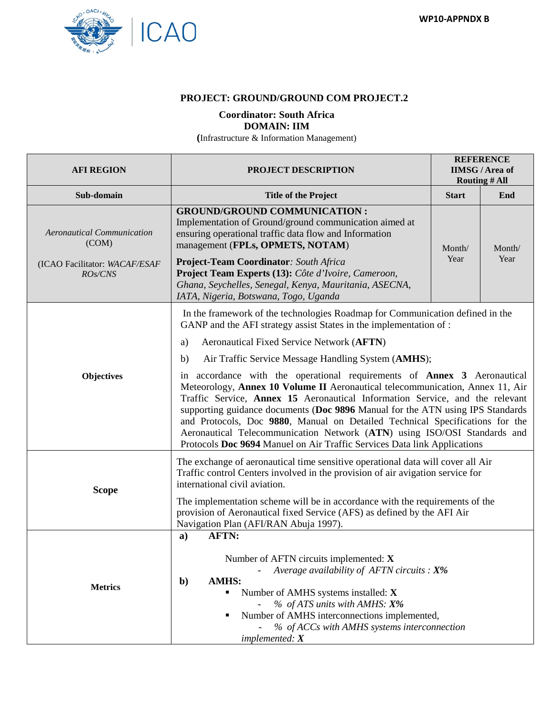

## **PROJECT: GROUND/GROUND COM PROJECT.2**

## **Coordinator: South Africa DOMAIN: IIM**

**(**Infrastructure & Information Management)

| <b>AFI REGION</b>                                                                                                                                                                                                  | <b>PROJECT DESCRIPTION</b>                                                                                                                                                                                                                                                                                                                                                                                                                                                                                                                                                | <b>REFERENCE</b><br><b>IIMSG/Area of</b><br><b>Routing # All</b> |        |  |  |
|--------------------------------------------------------------------------------------------------------------------------------------------------------------------------------------------------------------------|---------------------------------------------------------------------------------------------------------------------------------------------------------------------------------------------------------------------------------------------------------------------------------------------------------------------------------------------------------------------------------------------------------------------------------------------------------------------------------------------------------------------------------------------------------------------------|------------------------------------------------------------------|--------|--|--|
| Sub-domain                                                                                                                                                                                                         | <b>Title of the Project</b>                                                                                                                                                                                                                                                                                                                                                                                                                                                                                                                                               | <b>Start</b>                                                     | End    |  |  |
| <b>Aeronautical Communication</b><br>(COM)                                                                                                                                                                         | <b>GROUND/GROUND COMMUNICATION:</b><br>Implementation of Ground/ground communication aimed at<br>ensuring operational traffic data flow and Information<br>management (FPLs, OPMETS, NOTAM)                                                                                                                                                                                                                                                                                                                                                                               | Month/                                                           | Month/ |  |  |
| (ICAO Facilitator: WACAF/ESAF<br>ROs/CNS                                                                                                                                                                           | Project-Team Coordinator: South Africa<br>Project Team Experts (13): Côte d'Ivoire, Cameroon,<br>Ghana, Seychelles, Senegal, Kenya, Mauritania, ASECNA,<br>IATA, Nigeria, Botswana, Togo, Uganda                                                                                                                                                                                                                                                                                                                                                                          | Year                                                             | Year   |  |  |
|                                                                                                                                                                                                                    | In the framework of the technologies Roadmap for Communication defined in the<br>GANP and the AFI strategy assist States in the implementation of :                                                                                                                                                                                                                                                                                                                                                                                                                       |                                                                  |        |  |  |
|                                                                                                                                                                                                                    | Aeronautical Fixed Service Network (AFTN)<br>a)                                                                                                                                                                                                                                                                                                                                                                                                                                                                                                                           |                                                                  |        |  |  |
|                                                                                                                                                                                                                    | Air Traffic Service Message Handling System (AMHS);<br>b)                                                                                                                                                                                                                                                                                                                                                                                                                                                                                                                 |                                                                  |        |  |  |
| Objectives                                                                                                                                                                                                         | in accordance with the operational requirements of <b>Annex 3</b> Aeronautical<br>Meteorology, Annex 10 Volume II Aeronautical telecommunication, Annex 11, Air<br>Traffic Service, Annex 15 Aeronautical Information Service, and the relevant<br>supporting guidance documents (Doc 9896 Manual for the ATN using IPS Standards<br>and Protocols, Doc 9880, Manual on Detailed Technical Specifications for the<br>Aeronautical Telecommunication Network (ATN) using ISO/OSI Standards and<br>Protocols Doc 9694 Manuel on Air Traffic Services Data link Applications |                                                                  |        |  |  |
| The exchange of aeronautical time sensitive operational data will cover all Air<br>Traffic control Centers involved in the provision of air avigation service for<br>international civil aviation.<br><b>Scope</b> |                                                                                                                                                                                                                                                                                                                                                                                                                                                                                                                                                                           |                                                                  |        |  |  |
|                                                                                                                                                                                                                    | The implementation scheme will be in accordance with the requirements of the<br>provision of Aeronautical fixed Service (AFS) as defined by the AFI Air<br>Navigation Plan (AFI/RAN Abuja 1997).                                                                                                                                                                                                                                                                                                                                                                          |                                                                  |        |  |  |
| <b>Metrics</b>                                                                                                                                                                                                     | <b>AFTN:</b><br>$\mathbf{a}$<br>Number of AFTN circuits implemented: $X$<br>Average availability of AFTN circuits : $X\%$<br>$\sim$ $-$<br><b>AMHS:</b><br>$\mathbf{b}$<br>Number of AMHS systems installed: X<br>٠<br>% of ATS units with AMHS: X%<br>Number of AMHS interconnections implemented,<br>٠<br>% of ACCs with AMHS systems interconnection<br>implemented: X                                                                                                                                                                                                 |                                                                  |        |  |  |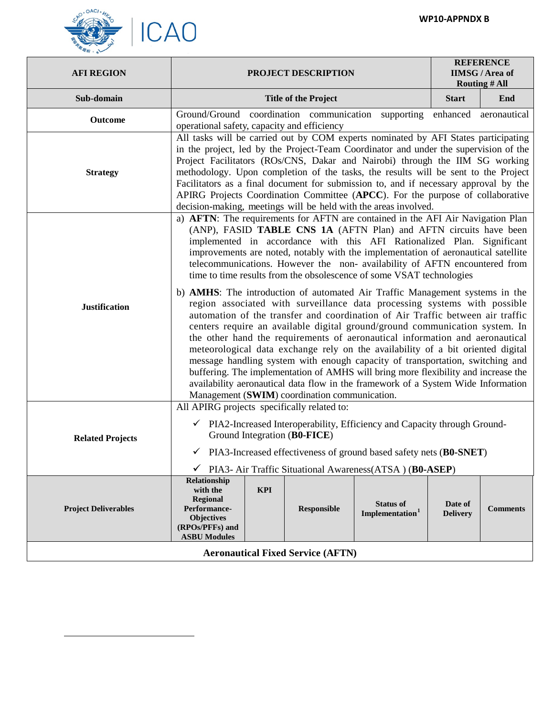

<span id="page-1-0"></span> $\overline{a}$ 

| <b>AFI REGION</b>                        | PROJECT DESCRIPTION                                                                                                                                                                                                                                                                                                                                                                                                                                                                                                                                                                                                                                                                                                                                                                                        |            |                             | <b>REFERENCE</b><br><b>IIMSG</b> / Area of<br><b>Routing # All</b> |                            |                 |
|------------------------------------------|------------------------------------------------------------------------------------------------------------------------------------------------------------------------------------------------------------------------------------------------------------------------------------------------------------------------------------------------------------------------------------------------------------------------------------------------------------------------------------------------------------------------------------------------------------------------------------------------------------------------------------------------------------------------------------------------------------------------------------------------------------------------------------------------------------|------------|-----------------------------|--------------------------------------------------------------------|----------------------------|-----------------|
| Sub-domain                               |                                                                                                                                                                                                                                                                                                                                                                                                                                                                                                                                                                                                                                                                                                                                                                                                            |            | <b>Title of the Project</b> |                                                                    | <b>Start</b>               | End             |
| Outcome                                  | Ground/Ground coordination communication<br>supporting<br>enhanced<br>aeronautical<br>operational safety, capacity and efficiency                                                                                                                                                                                                                                                                                                                                                                                                                                                                                                                                                                                                                                                                          |            |                             |                                                                    |                            |                 |
| <b>Strategy</b>                          | All tasks will be carried out by COM experts nominated by AFI States participating<br>in the project, led by the Project-Team Coordinator and under the supervision of the<br>Project Facilitators (ROs/CNS, Dakar and Nairobi) through the IIM SG working<br>methodology. Upon completion of the tasks, the results will be sent to the Project<br>Facilitators as a final document for submission to, and if necessary approval by the<br>APIRG Projects Coordination Committee (APCC). For the purpose of collaborative<br>decision-making, meetings will be held with the areas involved.                                                                                                                                                                                                              |            |                             |                                                                    |                            |                 |
| <b>Justification</b>                     | a) AFTN: The requirements for AFTN are contained in the AFI Air Navigation Plan<br>(ANP), FASID TABLE CNS 1A (AFTN Plan) and AFTN circuits have been<br>implemented in accordance with this AFI Rationalized Plan. Significant<br>improvements are noted, notably with the implementation of aeronautical satellite<br>telecommunications. However the non-availability of AFTN encountered from<br>time to time results from the obsolescence of some VSAT technologies                                                                                                                                                                                                                                                                                                                                   |            |                             |                                                                    |                            |                 |
|                                          | b) AMHS: The introduction of automated Air Traffic Management systems in the<br>region associated with surveillance data processing systems with possible<br>automation of the transfer and coordination of Air Traffic between air traffic<br>centers require an available digital ground/ground communication system. In<br>the other hand the requirements of aeronautical information and aeronautical<br>meteorological data exchange rely on the availability of a bit oriented digital<br>message handling system with enough capacity of transportation, switching and<br>buffering. The implementation of AMHS will bring more flexibility and increase the<br>availability aeronautical data flow in the framework of a System Wide Information<br>Management (SWIM) coordination communication. |            |                             |                                                                    |                            |                 |
| <b>Related Projects</b>                  | All APIRG projects specifically related to:<br>$\checkmark$ PIA2-Increased Interoperability, Efficiency and Capacity through Ground-<br>Ground Integration (B0-FICE)<br>$\checkmark$ PIA3-Increased effectiveness of ground based safety nets (B0-SNET)<br>$\checkmark$ PIA3- Air Traffic Situational Awareness(ATSA) (B0-ASEP)                                                                                                                                                                                                                                                                                                                                                                                                                                                                            |            |                             |                                                                    |                            |                 |
| <b>Project Deliverables</b>              | Relationship<br>with the<br><b>Regional</b><br>Performance-<br><b>Objectives</b><br>(RPOs/PFFs) and<br><b>ASBU Modules</b>                                                                                                                                                                                                                                                                                                                                                                                                                                                                                                                                                                                                                                                                                 | <b>KPI</b> | Responsible                 | <b>Status of</b><br>Implementation <sup>1</sup>                    | Date of<br><b>Delivery</b> | <b>Comments</b> |
| <b>Aeronautical Fixed Service (AFTN)</b> |                                                                                                                                                                                                                                                                                                                                                                                                                                                                                                                                                                                                                                                                                                                                                                                                            |            |                             |                                                                    |                            |                 |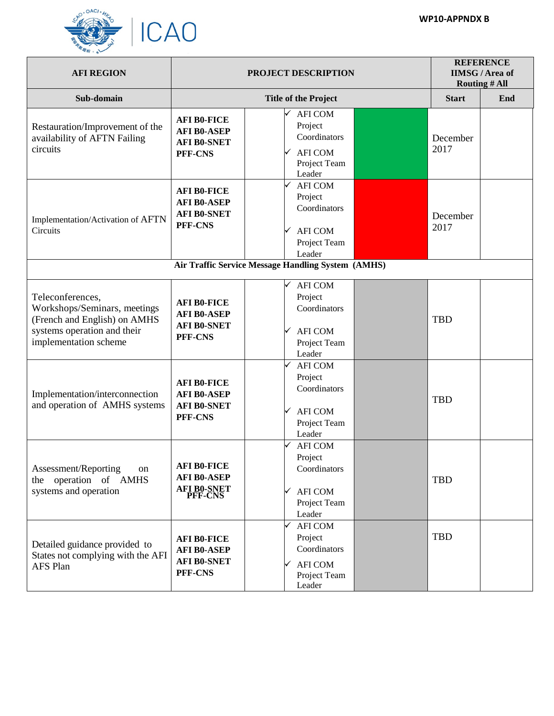

| <b>AFI REGION</b>                                                                                                                        |                                                                            | <b>REFERENCE</b><br><b>IIMSG</b> / Area of<br><b>Routing # All</b>                         |                  |  |
|------------------------------------------------------------------------------------------------------------------------------------------|----------------------------------------------------------------------------|--------------------------------------------------------------------------------------------|------------------|--|
| Sub-domain                                                                                                                               |                                                                            | <b>Start</b>                                                                               | End              |  |
| Restauration/Improvement of the<br>availability of AFTN Failing<br>circuits                                                              | <b>AFI B0-FICE</b><br><b>AFI B0-ASEP</b><br><b>AFI B0-SNET</b><br>PFF-CNS  | <b>AFI COM</b><br>Project<br>Coordinators<br><b>AFI COM</b><br>Project Team<br>Leader      | December<br>2017 |  |
| Implementation/Activation of AFTN<br>Circuits                                                                                            | <b>AFI B0-FICE</b><br><b>AFI B0-ASEP</b><br><b>AFI B0-SNET</b><br>PFF-CNS  | <b>AFI COM</b><br>Project<br>Coordinators<br><b>AFI COM</b><br>Project Team<br>Leader      | December<br>2017 |  |
|                                                                                                                                          |                                                                            | <b>Air Traffic Service Message Handling System (AMHS)</b>                                  |                  |  |
| Teleconferences,<br>Workshops/Seminars, meetings<br>(French and English) on AMHS<br>systems operation and their<br>implementation scheme | <b>AFI B0-FICE</b><br><b>AFI B0-ASEP</b><br><b>AFI B0-SNET</b><br>PFF-CNS  | <b>AFI COM</b><br>Project<br>Coordinators<br><b>AFI COM</b><br>Project Team<br>Leader      | <b>TBD</b>       |  |
| Implementation/interconnection<br>and operation of AMHS systems                                                                          | <b>AFI B0-FICE</b><br><b>AFI B0-ASEP</b><br><b>AFI B0-SNET</b><br>PFF-CNS  | <b>AFI COM</b><br>Project<br>Coordinators<br><b>AFI COM</b><br>Project Team<br>Leader      | <b>TBD</b>       |  |
| Assessment/Reporting<br>on<br>operation of AMHS<br>the<br>systems and operation                                                          | <b>AFI B0-FICE</b><br><b>AFI B0-ASEP</b><br><b>AFI B0-SNET<br/>PFF-CNS</b> | <b>AFI COM</b><br>Project<br>Coordinators<br><b>AFI COM</b><br>✓<br>Project Team<br>Leader | <b>TBD</b>       |  |
| Detailed guidance provided to<br>States not complying with the AFI<br><b>AFS Plan</b>                                                    | <b>AFI B0-FICE</b><br><b>AFI B0-ASEP</b><br><b>AFI B0-SNET</b><br>PFF-CNS  | <b>AFI COM</b><br>Project<br>Coordinators<br><b>AFI COM</b><br>Project Team<br>Leader      | <b>TBD</b>       |  |